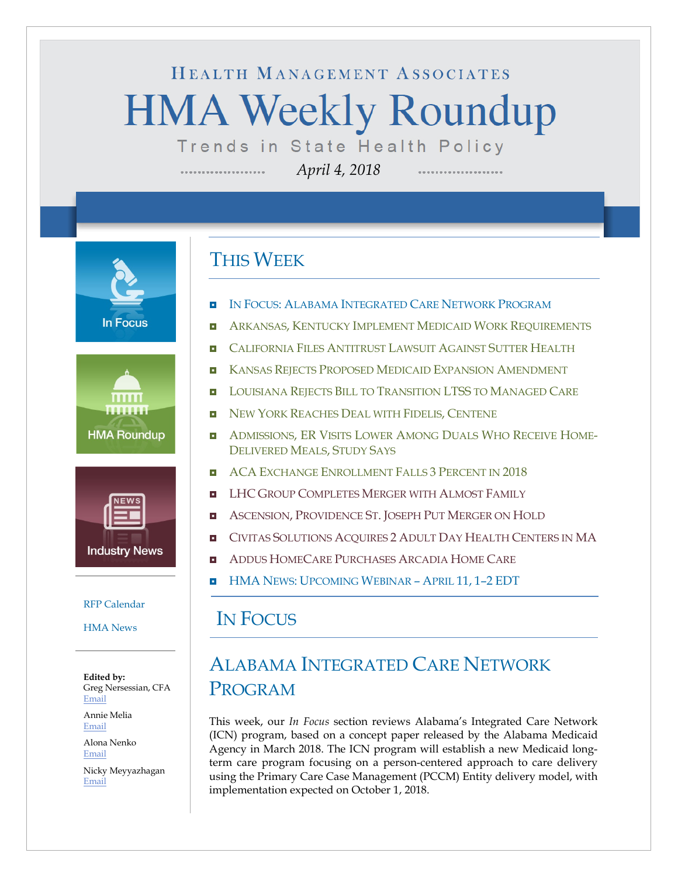# HEALTH MANAGEMENT ASSOCIATES **HMA Weekly Roundup** Trends in State Health Policy

*April 4, 2018*

**In Focus** 





#### [RFP Calendar](#page-12-0)

[HMA News](#page-13-0)

**Edited by:** Greg Nersessian, CFA [Email](mailto:gnersessian@healthmanagement.com)

Annie Melia [Email](mailto:amelia@healthmanagement.com)

Alona Nenko [Email](mailto:anenko@healthmanagement.com)

Nicky Meyyazhagan [Email](mailto:nmeyyazhagan@healthmanagement.com)

### THIS WEEK

- IN FOCUS: [ALABAMA INTEGRATED CARE NETWORK PROGRAM](#page-0-0)
- **ARKANSAS, [KENTUCKY IMPLEMENT MEDICAID WORK REQUIREMENTS](#page-3-0)**
- **Q** [CALIFORNIA FILES ANTITRUST LAWSUIT AGAINST SUTTER HEALTH](#page-3-1)
- **EXPANSAS REJECTS PROPOSED MEDICAID EXPANSION AMENDMENT**
- **[LOUISIANA REJECTS BILL TO TRANSITION LTSS](#page-5-1) TO MANAGED CARE**
- [NEW YORK REACHES DEAL WITH FIDELIS,](#page-6-0) CENTENE
- ADMISSIONS, ER VISITS LOWER [AMONG DUALS WHO RECEIVE HOME-](#page-9-0)[DELIVERED MEALS,](#page-9-0) STUDY SAYS
- **B** ACA [EXCHANGE ENROLLMENT FALLS 3](#page-9-0) PERCENT IN 2018
- **LHC GROUP COMPLETES MERGER WITH ALMOST FAMILY**
- **ASCENSION, PROVIDENCE ST. [JOSEPH PUT MERGER ON HOLD](#page-11-0)**
- **E** CIVITAS SOLUTIONS ACOUIRES 2 [ADULT DAY HEALTH CENTERS IN MA](#page-11-0)
- **E** [ADDUS HOMECARE PURCHASES ARCADIA HOME CARE](#page-11-0)
- **HMA NEWS: UPCOMING WEBINAR APRIL 11, 1-2 EDT**

#### <span id="page-0-0"></span>IN FOCUS

## ALABAMA INTEGRATED CARE NETWORK PROGRAM

This week, our *In Focus* section reviews Alabama's Integrated Care Network (ICN) program, based on a concept paper released by the Alabama Medicaid Agency in March 2018. The ICN program will establish a new Medicaid longterm care program focusing on a person-centered approach to care delivery using the Primary Care Case Management (PCCM) Entity delivery model, with implementation expected on October 1, 2018.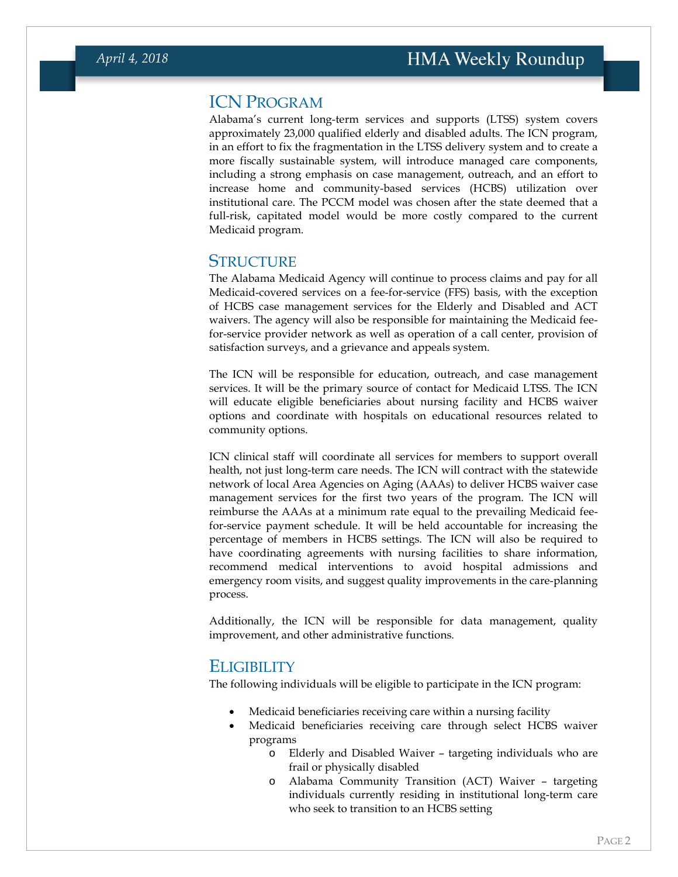#### ICN PROGRAM

Alabama's current long-term services and supports (LTSS) system covers approximately 23,000 qualified elderly and disabled adults. The ICN program, in an effort to fix the fragmentation in the LTSS delivery system and to create a more fiscally sustainable system, will introduce managed care components, including a strong emphasis on case management, outreach, and an effort to increase home and community-based services (HCBS) utilization over institutional care. The PCCM model was chosen after the state deemed that a full-risk, capitated model would be more costly compared to the current Medicaid program.

#### **STRUCTURE**

The Alabama Medicaid Agency will continue to process claims and pay for all Medicaid-covered services on a fee-for-service (FFS) basis, with the exception of HCBS case management services for the Elderly and Disabled and ACT waivers. The agency will also be responsible for maintaining the Medicaid feefor-service provider network as well as operation of a call center, provision of satisfaction surveys, and a grievance and appeals system.

The ICN will be responsible for education, outreach, and case management services. It will be the primary source of contact for Medicaid LTSS. The ICN will educate eligible beneficiaries about nursing facility and HCBS waiver options and coordinate with hospitals on educational resources related to community options.

ICN clinical staff will coordinate all services for members to support overall health, not just long-term care needs. The ICN will contract with the statewide network of local Area Agencies on Aging (AAAs) to deliver HCBS waiver case management services for the first two years of the program. The ICN will reimburse the AAAs at a minimum rate equal to the prevailing Medicaid feefor-service payment schedule. It will be held accountable for increasing the percentage of members in HCBS settings. The ICN will also be required to have coordinating agreements with nursing facilities to share information, recommend medical interventions to avoid hospital admissions and emergency room visits, and suggest quality improvements in the care-planning process.

Additionally, the ICN will be responsible for data management, quality improvement, and other administrative functions.

#### **ELIGIBILITY**

The following individuals will be eligible to participate in the ICN program:

- Medicaid beneficiaries receiving care within a nursing facility
- Medicaid beneficiaries receiving care through select HCBS waiver programs
	- o Elderly and Disabled Waiver targeting individuals who are frail or physically disabled
	- o Alabama Community Transition (ACT) Waiver targeting individuals currently residing in institutional long-term care who seek to transition to an HCBS setting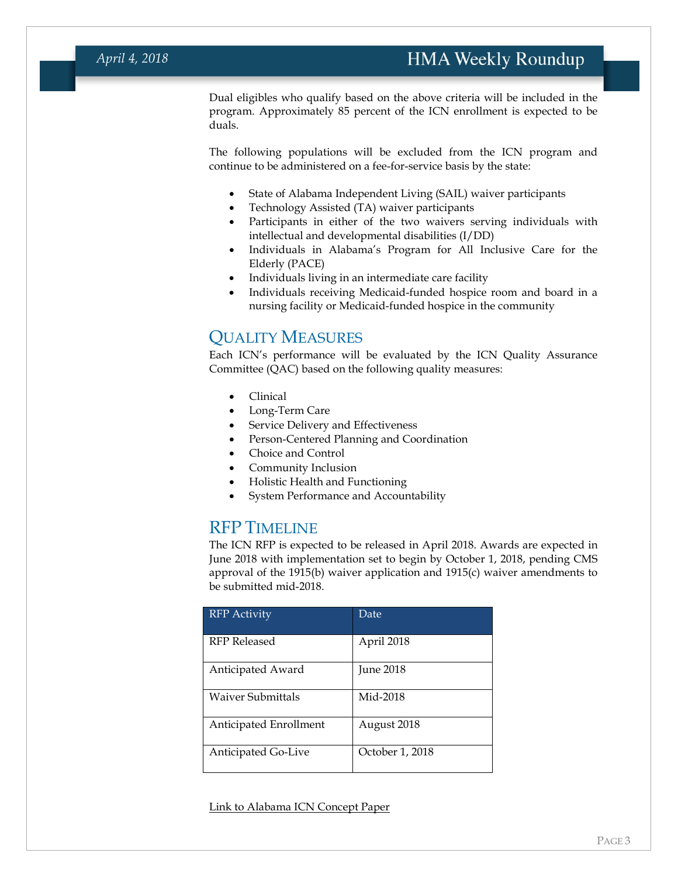Dual eligibles who qualify based on the above criteria will be included in the program. Approximately 85 percent of the ICN enrollment is expected to be duals.

The following populations will be excluded from the ICN program and continue to be administered on a fee-for-service basis by the state:

- State of Alabama Independent Living (SAIL) waiver participants
- Technology Assisted (TA) waiver participants
- Participants in either of the two waivers serving individuals with intellectual and developmental disabilities (I/DD)
- Individuals in Alabama's Program for All Inclusive Care for the Elderly (PACE)
- Individuals living in an intermediate care facility
- Individuals receiving Medicaid-funded hospice room and board in a nursing facility or Medicaid-funded hospice in the community

#### QUALITY MEASURES

Each ICN's performance will be evaluated by the ICN Quality Assurance Committee (QAC) based on the following quality measures:

- Clinical
- Long-Term Care
- Service Delivery and Effectiveness
- Person-Centered Planning and Coordination
- Choice and Control
- Community Inclusion
- Holistic Health and Functioning
- System Performance and Accountability

#### RFP TIMELINE

The ICN RFP is expected to be released in April 2018. Awards are expected in June 2018 with implementation set to begin by October 1, 2018, pending CMS approval of the 1915(b) waiver application and 1915(c) waiver amendments to be submitted mid-2018.

| <b>RFP</b> Activity    | Date            |
|------------------------|-----------------|
| RFP Released           | April 2018      |
| Anticipated Award      | June 2018       |
| Waiver Submittals      | Mid-2018        |
| Anticipated Enrollment | August 2018     |
| Anticipated Go-Live    | October 1, 2018 |

[Link to Alabama ICN Concept Paper](https://medicaid.alabama.gov/documents/5.0_Managed_Care/5.2_Other_Managed_Care_Programs/5.2.4_ICNs/5.2.4_Updated_ICN_Concept_Paper_3-26-18.pdf)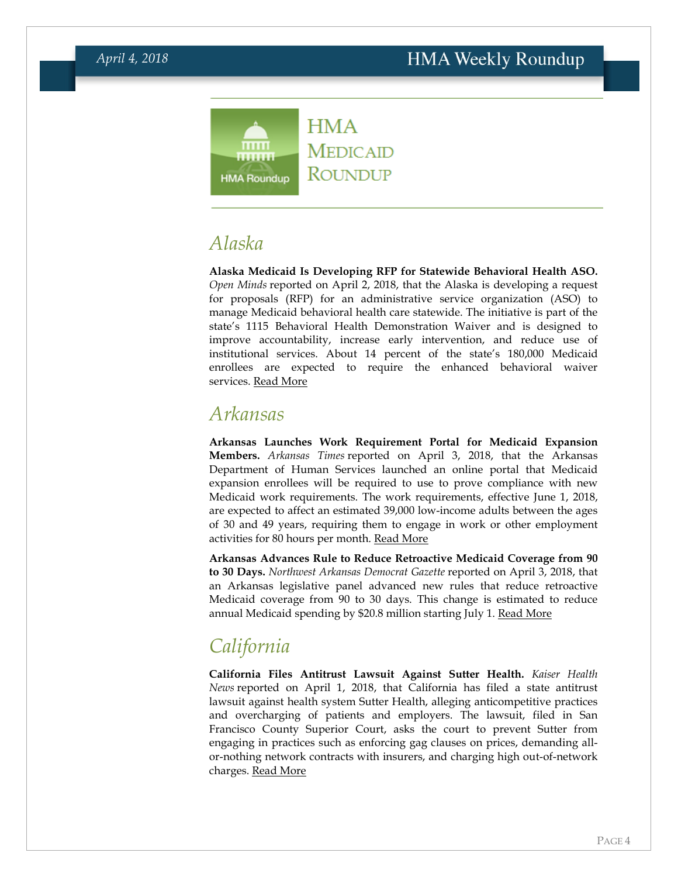#### **HMA** mm **MEDICAID** ....... ROUNDUP **HMA Roundup**

## *Alaska*

**Alaska Medicaid Is Developing RFP for Statewide Behavioral Health ASO.** *Open Minds* reported on April 2, 2018, that the Alaska is developing a request for proposals (RFP) for an administrative service organization (ASO) to manage Medicaid behavioral health care statewide. The initiative is part of the state's 1115 Behavioral Health Demonstration Waiver and is designed to improve accountability, increase early intervention, and reduce use of institutional services. About 14 percent of the state's 180,000 Medicaid enrollees are expected to require the enhanced behavioral waiver services. [Read More](https://www.openminds.com/market-intelligence/news/alaska-medicaid-preparing-rfp-for-statewide-medicaid-behavioral-health-aso/)

#### <span id="page-3-0"></span>*Arkansas*

**Arkansas Launches Work Requirement Portal for Medicaid Expansion Members.** *Arkansas Times* reported on April 3, 2018, that the Arkansas Department of Human Services launched an online portal that Medicaid expansion enrollees will be required to use to prove compliance with new Medicaid work requirements. The work requirements, effective June 1, 2018, are expected to affect an estimated 39,000 low-income adults between the ages of 30 and 49 years, requiring them to engage in work or other employment activities for 80 hours per month. [Read More](https://www.arktimes.com/ArkansasBlog/archives/2018/04/02/dhs-rolls-out-work-requirement-portal-for-arkansas-works-beneficiaries)

**Arkansas Advances Rule to Reduce Retroactive Medicaid Coverage from 90 to 30 Days.** *Northwest Arkansas Democrat Gazette* reported on April 3, 2018, that an Arkansas legislative panel advanced new rules that reduce retroactive Medicaid coverage from 90 to 30 days. This change is estimated to reduce annual Medicaid spending by \$20.8 million starting July 1. [Read More](http://www.nwaonline.com/news/2018/apr/03/panel-advances-new-rules-to-cut-medicai/)

# <span id="page-3-1"></span>*California*

**California Files Antitrust Lawsuit Against Sutter Health.** *Kaiser Health News* reported on April 1, 2018, that California has filed a state antitrust lawsuit against health system Sutter Health, alleging anticompetitive practices and overcharging of patients and employers. The lawsuit, filed in San Francisco County Superior Court, asks the court to prevent Sutter from engaging in practices such as enforcing gag clauses on prices, demanding allor-nothing network contracts with insurers, and charging high out-of-network charges. [Read More](https://khn.org/news/california-sues-sutter-health-alleging-excessive-pricing/)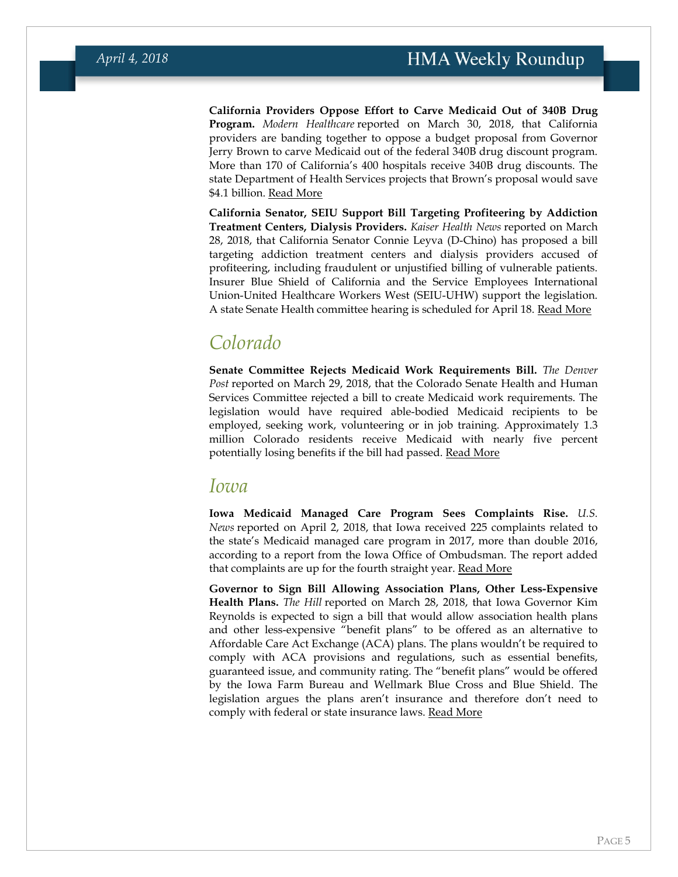**California Providers Oppose Effort to Carve Medicaid Out of 340B Drug Program.** *Modern Healthcare* reported on March 30, 2018, that California providers are banding together to oppose a budget proposal from Governor Jerry Brown to carve Medicaid out of the federal 340B drug discount program. More than 170 of California's 400 hospitals receive 340B drug discounts. The state Department of Health Services projects that Brown's proposal would save \$4.1 billion. [Read More](http://www.modernhealthcare.com/article/20180330/NEWS/180339974)

**California Senator, SEIU Support Bill Targeting Profiteering by Addiction Treatment Centers, Dialysis Providers.** *Kaiser Health News* reported on March 28, 2018, that California Senator Connie Leyva (D-Chino) has proposed a bill targeting addiction treatment centers and dialysis providers accused of profiteering, including fraudulent or unjustified billing of vulnerable patients. Insurer Blue Shield of California and the Service Employees International Union-United Healthcare Workers West (SEIU-UHW) support the legislation. A state Senate Health committee hearing is scheduled for April 18. [Read More](https://khn.org/news/calif-bill-targets-profiteering-in-addiction-treatment-dialysis-industries/)

### *Colorado*

**Senate Committee Rejects Medicaid Work Requirements Bill.** *The Denver Post* reported on March 29, 2018, that the Colorado Senate Health and Human Services Committee rejected a bill to create Medicaid work requirements. The legislation would have required able-bodied Medicaid recipients to be employed, seeking work, volunteering or in job training. Approximately 1.3 million Colorado residents receive Medicaid with nearly five percent potentially losing benefits if the bill had passed. [Read More](https://www.denverpost.com/2018/03/29/colorado-medicaid-work-requirement-fails/)

#### *Iowa*

**Iowa Medicaid Managed Care Program Sees Complaints Rise.** *U.S. News* reported on April 2, 2018, that Iowa received 225 complaints related to the state's Medicaid managed care program in 2017, more than double 2016, according to a report from the Iowa Office of Ombudsman. The report added that complaints are up for the fourth straight year. [Read More](https://www.usnews.com/news/best-states/iowa/articles/2018-04-02/agency-report-iowa-medicaid-complaints-doubled-in-2017)

**Governor to Sign Bill Allowing Association Plans, Other Less-Expensive Health Plans.** *The Hill* reported on March 28, 2018, that Iowa Governor Kim Reynolds is expected to sign a bill that would allow association health plans and other less-expensive "benefit plans" to be offered as an alternative to Affordable Care Act Exchange (ACA) plans. The plans wouldn't be required to comply with ACA provisions and regulations, such as essential benefits, guaranteed issue, and community rating. The "benefit plans" would be offered by the Iowa Farm Bureau and Wellmark Blue Cross and Blue Shield. The legislation argues the plans aren't insurance and therefore don't need to comply with federal or state insurance laws. [Read More](http://thehill.com/policy/healthcare/380684-iowa-seeks-to-allow-insurers-to-skirt-obamacare-rules)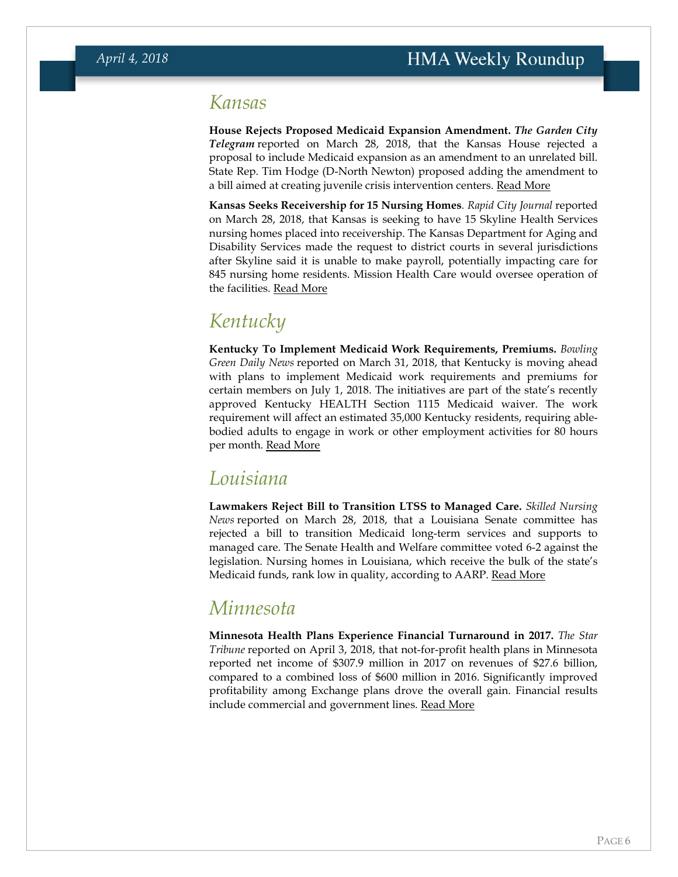#### <span id="page-5-0"></span>*Kansas*

**House Rejects Proposed Medicaid Expansion Amendment.** *The Garden City Telegram* reported on March 28, 2018, that the Kansas House rejected a proposal to include Medicaid expansion as an amendment to an unrelated bill. State Rep. Tim Hodge (D-North Newton) proposed adding the amendment to a bill aimed at creating juvenile crisis intervention centers. [Read More](http://www.gctelegram.com/news/20180328/house-rejects-medicaid-expansion)

**Kansas Seeks Receivership for 15 Nursing Homes***. Rapid City Journal* reported on March 28, 2018, that Kansas is seeking to have 15 Skyline Health Services nursing homes placed into receivership. The Kansas Department for Aging and Disability Services made the request to district courts in several jurisdictions after Skyline said it is unable to make payroll, potentially impacting care for 845 nursing home residents. Mission Health Care would oversee operation of the facilities. [Read More](http://rapidcityjournal.com/news/national/kansas-regulators-seek-to-take-over-nursing-homes/article_e4771041-50fe-5324-b02e-eb906953e762.html)

## *Kentucky*

**Kentucky To Implement Medicaid Work Requirements, Premiums.** *Bowling Green Daily News* reported on March 31, 2018, that Kentucky is moving ahead with plans to implement Medicaid work requirements and premiums for certain members on July 1, 2018. The initiatives are part of the state's recently approved Kentucky HEALTH Section 1115 Medicaid waiver. The work requirement will affect an estimated 35,000 Kentucky residents, requiring ablebodied adults to engage in work or other employment activities for 80 hours per month. [Read More](http://www.bgdailynews.com/news/plans-moving-forward-to-implement-medicaid-waiver/article_8be31e93-cc7f-5637-a464-ff3c63bb8197.html)

## <span id="page-5-1"></span>*Louisiana*

**Lawmakers Reject Bill to Transition LTSS to Managed Care.** *Skilled Nursing News* reported on March 28, 2018, that a Louisiana Senate committee has rejected a bill to transition Medicaid long-term services and supports to managed care. The Senate Health and Welfare committee voted 6-2 against the legislation. Nursing homes in Louisiana, which receive the bulk of the state's Medicaid funds, rank low in quality, according to AARP. [Read More](https://skillednursingnews.com/2018/03/louisiana-rejects-proposal-shift-skilled-nursing-residents-home/)

### *Minnesota*

**Minnesota Health Plans Experience Financial Turnaround in 2017.** *The Star Tribune* reported on April 3, 2018, that not-for-profit health plans in Minnesota reported net income of \$307.9 million in 2017 on revenues of \$27.6 billion, compared to a combined loss of \$600 million in 2016. Significantly improved profitability among Exchange plans drove the overall gain. Financial results include commercial and government lines. [Read More](http://www.startribune.com/health-insurers-return-to-profitability-in-minnesota/478658513/)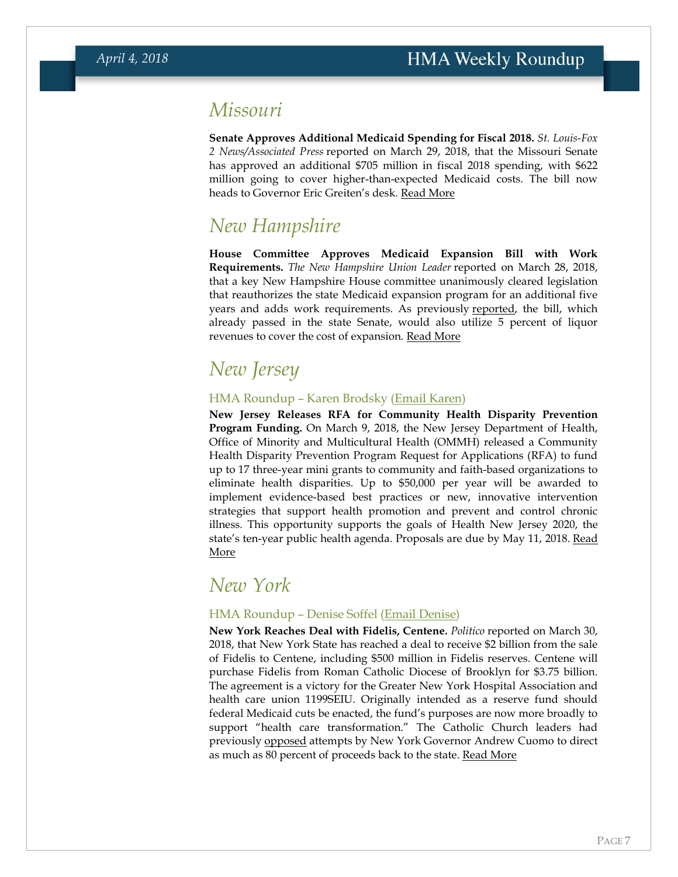## *Missouri*

**Senate Approves Additional Medicaid Spending for Fiscal 2018.** *St. Louis-Fox 2 News/Associated Press* reported on March 29, 2018, that the Missouri Senate has approved an additional \$705 million in fiscal 2018 spending, with \$622 million going to cover higher-than-expected Medicaid costs. The bill now heads to Governor Eric Greiten's desk. [Read More](http://fox2now.com/2018/03/29/missouri-lawmakers-grow-budget-by-700m-mainly-for-medicaid/)

## *New Hampshire*

**House Committee Approves Medicaid Expansion Bill with Work Requirements.** *The New Hampshire Union Leader* reported on March 28, 2018, that a key New Hampshire House committee unanimously cleared legislation that reauthorizes the state Medicaid expansion program for an additional five years and adds work requirements. As previously [reported,](https://hmais.healthmanagement.com/new-hampshire/nh-senate-passes-medicaid-expansion-bill-work-requirements/) the bill, which already passed in the state Senate, would also utilize 5 percent of liquor revenues to cover the cost of expansion. [Read More](http://www.unionleader.com/state-government/Medicaid-expansion-bill-clears-key-House-committee-in-unanimous-vote-03292018)

## *New Jersey*

#### HMA Roundup – Karen Brodsky [\(Email Karen\)](mailto:kbrodsky@healthmanagement.com)

**New Jersey Releases RFA for Community Health Disparity Prevention Program Funding.** On March 9, 2018, the New Jersey Department of Health, Office of Minority and Multicultural Health (OMMH) released a Community Health Disparity Prevention Program Request for Applications (RFA) to fund up to 17 three-year mini grants to community and faith-based organizations to eliminate health disparities. Up to \$50,000 per year will be awarded to implement evidence-based best practices or new, innovative intervention strategies that support health promotion and prevent and control chronic illness. This opportunity supports the goals of Health New Jersey 2020, the state's ten-year public health agenda. Proposals are due by May 11, 2018. [Read](http://www.state.nj.us/health/ommh/documents/chdpp_rfaj.pdf)  [More](http://www.state.nj.us/health/ommh/documents/chdpp_rfaj.pdf)

#### <span id="page-6-0"></span>*New York*

#### HMA Roundup – Denise Soffel [\(Email Denise\)](mailto:dsoffel@healthmanagement.com)

**New York Reaches Deal with Fidelis, Centene.** *Politico* reported on March 30, 2018, that New York State has reached a deal to receive \$2 billion from the sale of Fidelis to Centene, including \$500 million in Fidelis reserves. Centene will purchase Fidelis from Roman Catholic Diocese of Brooklyn for \$3.75 billion. The agreement is a victory for the Greater New York Hospital Association and health care union 1199SEIU. Originally intended as a reserve fund should federal Medicaid cuts be enacted, the fund's purposes are now more broadly to support "health care transformation." The Catholic Church leaders had previously [opposed](https://hmais.healthmanagement.com/new-york/ny-catholic-diocese-opposes-governors-proposal-on-nonprofit-insurer-sales/) attempts by New York Governor Andrew Cuomo to direct as much as 80 percent of proceeds back to the state. [Read More](https://www.politico.com/states/new-york/albany/story/2018/03/30/state-reaches-2b-deal-for-fidelis-centene-sale-as-budget-deal-nears-340804)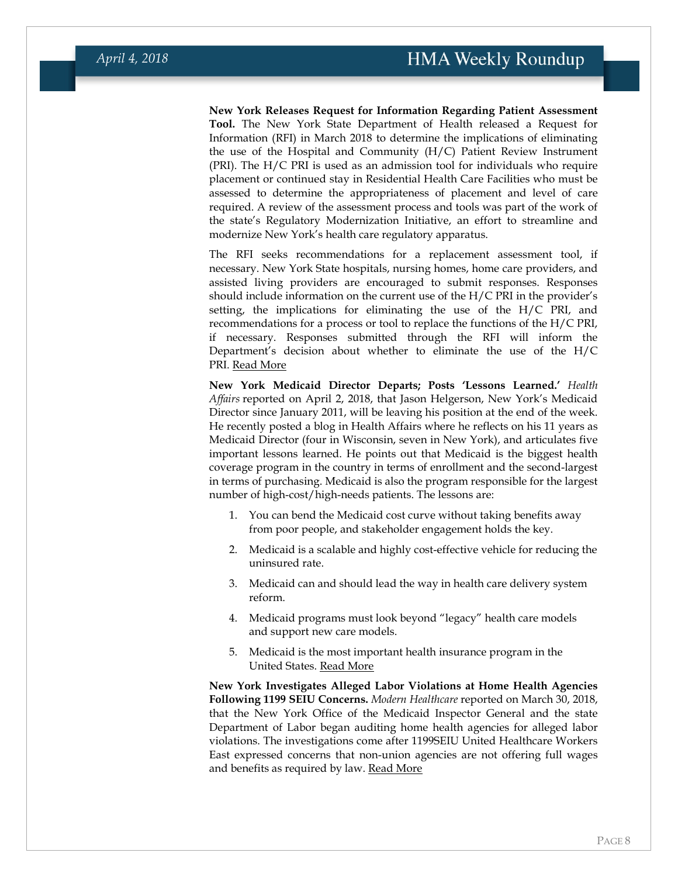**New York Releases Request for Information Regarding Patient Assessment Tool.** The New York State Department of Health released a Request for Information (RFI) in March 2018 to determine the implications of eliminating the use of the Hospital and Community (H/C) Patient Review Instrument (PRI). The H/C PRI is used as an admission tool for individuals who require placement or continued stay in Residential Health Care Facilities who must be assessed to determine the appropriateness of placement and level of care required. A review of the assessment process and tools was part of the work of the state's Regulatory Modernization Initiative, an effort to streamline and modernize New York's health care regulatory apparatus.

The RFI seeks recommendations for a replacement assessment tool, if necessary. New York State hospitals, nursing homes, home care providers, and assisted living providers are encouraged to submit responses. Responses should include information on the current use of the H/C PRI in the provider's setting, the implications for eliminating the use of the H/C PRI, and recommendations for a process or tool to replace the functions of the H/C PRI, if necessary. Responses submitted through the RFI will inform the Department's decision about whether to eliminate the use of the H/C PRI. [Read More](https://www.health.ny.gov/funding/rfi/pri/index.htm)

**New York Medicaid Director Departs; Posts 'Lessons Learned.'** *Health Affairs* reported on April 2, 2018, that Jason Helgerson, New York's Medicaid Director since January 2011, will be leaving his position at the end of the week. He recently posted a blog in Health Affairs where he reflects on his 11 years as Medicaid Director (four in Wisconsin, seven in New York), and articulates five important lessons learned. He points out that Medicaid is the biggest health coverage program in the country in terms of enrollment and the second-largest in terms of purchasing. Medicaid is also the program responsible for the largest number of high-cost/high-needs patients. The lessons are:

- 1. You can bend the Medicaid cost curve without taking benefits away from poor people, and stakeholder engagement holds the key.
- 2. Medicaid is a scalable and highly cost-effective vehicle for reducing the uninsured rate.
- 3. Medicaid can and should lead the way in health care delivery system reform.
- 4. Medicaid programs must look beyond "legacy" health care models and support new care models.
- 5. Medicaid is the most important health insurance program in the United States. [Read More](https://www.healthaffairs.org/do/10.1377/hblog20180327.160561/full/)

**New York Investigates Alleged Labor Violations at Home Health Agencies Following 1199 SEIU Concerns.** *Modern Healthcare* reported on March 30, 2018, that the New York Office of the Medicaid Inspector General and the state Department of Labor began auditing home health agencies for alleged labor violations. The investigations come after 1199SEIU United Healthcare Workers East expressed concerns that non-union agencies are not offering full wages and benefits as required by law. [Read More](http://www.modernhealthcare.com/article/20180330/NEWS/180339977)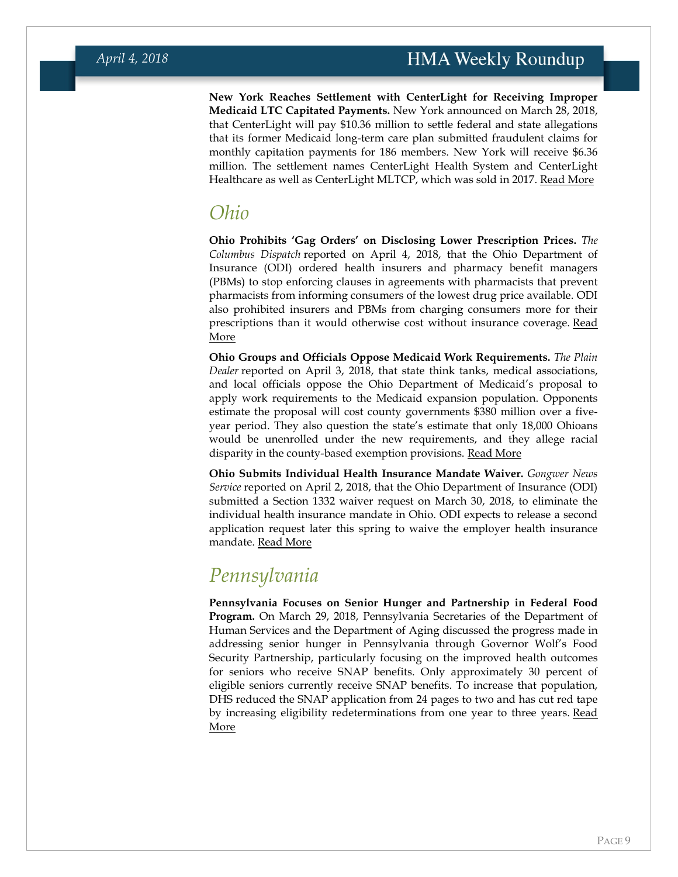**New York Reaches Settlement with CenterLight for Receiving Improper Medicaid LTC Capitated Payments.** New York announced on March 28, 2018, that CenterLight will pay \$10.36 million to settle federal and state allegations that its former Medicaid long-term care plan submitted fraudulent claims for monthly capitation payments for 186 members. New York will receive \$6.36 million. The settlement names CenterLight Health System and CenterLight Healthcare as well as CenterLight MLTCP, which was sold in 2017. [Read More](https://ag.ny.gov/press-release/ag-schneiderman-announces-103-million-joint-state-federal-settlement-centerlight-over)

## *Ohio*

**Ohio Prohibits 'Gag Orders' on Disclosing Lower Prescription Prices.** *The Columbus Dispatch* reported on April 4, 2018, that the Ohio Department of Insurance (ODI) ordered health insurers and pharmacy benefit managers (PBMs) to stop enforcing clauses in agreements with pharmacists that prevent pharmacists from informing consumers of the lowest drug price available. ODI also prohibited insurers and PBMs from charging consumers more for their prescriptions than it would otherwise cost without insurance coverage. Read [More](http://www.dispatch.com/news/20180404/ohio-bans-gag-orders-on-cheaper-cash-prices-for-prescriptions)

**Ohio Groups and Officials Oppose Medicaid Work Requirements.** *The Plain Dealer* reported on April 3, 2018, that state think tanks, medical associations, and local officials oppose the Ohio Department of Medicaid's proposal to apply work requirements to the Medicaid expansion population. Opponents estimate the proposal will cost county governments \$380 million over a fiveyear period. They also question the state's estimate that only 18,000 Ohioans would be unenrolled under the new requirements, and they allege racial disparity in the county-based exemption provisions. [Read More](http://www.cleveland.com/healthfit/index.ssf/2018/04/ohio_groups_officials_oppose_m_1.html)

**Ohio Submits Individual Health Insurance Mandate Waiver.** *Gongwer News Service* reported on April 2, 2018, that the Ohio Department of Insurance (ODI) submitted a Section 1332 waiver request on March 30, 2018, to eliminate the individual health insurance mandate in Ohio. ODI expects to release a second application request later this spring to waive the employer health insurance mandate. [Read More](https://www.gongwer-oh.com/programming/news.cfm?Article_ID=870630201)

## *Pennsylvania*

**Pennsylvania Focuses on Senior Hunger and Partnership in Federal Food Program.** On March 29, 2018, Pennsylvania Secretaries of the Department of Human Services and the Department of Aging discussed the progress made in addressing senior hunger in Pennsylvania through Governor Wolf's Food Security Partnership, particularly focusing on the improved health outcomes for seniors who receive SNAP benefits. Only approximately 30 percent of eligible seniors currently receive SNAP benefits. To increase that population, DHS reduced the SNAP application from 24 pages to two and has cut red tape by increasing eligibility redeterminations from one year to three years. [Read](http://www.media.pa.gov/Pages/DHS_details.aspx?newsid=293)  [More](http://www.media.pa.gov/Pages/DHS_details.aspx?newsid=293)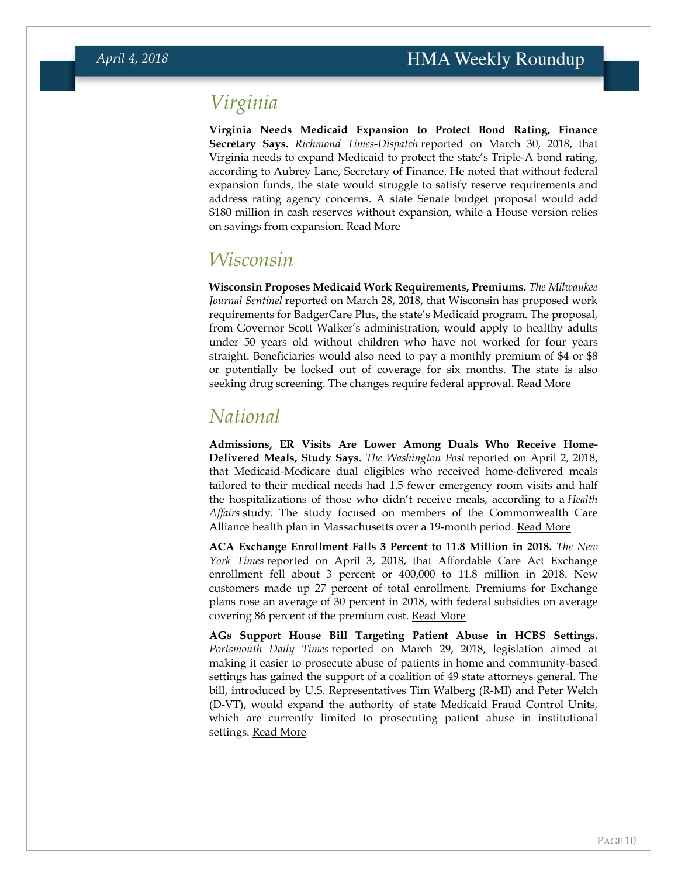## *Virginia*

**Virginia Needs Medicaid Expansion to Protect Bond Rating, Finance Secretary Says.** *Richmond Times-Dispatch* reported on March 30, 2018, that Virginia needs to expand Medicaid to protect the state's Triple-A bond rating, according to Aubrey Lane, Secretary of Finance. He noted that without federal expansion funds, the state would struggle to satisfy reserve requirements and address rating agency concerns. A state Senate budget proposal would add \$180 million in cash reserves without expansion, while a House version relies on savings from expansion. [Read More](http://www.richmond.com/news/virginia/government-politics/general-assembly/virginia-finance-secretary-doubts-state-can-protect-bond-rating-without/article_6994ff9d-1b4e-5e8e-aed6-2c802dfb3106.html)

## *Wisconsin*

**Wisconsin Proposes Medicaid Work Requirements, Premiums.** *The Milwaukee Journal Sentinel* reported on March 28, 2018, that Wisconsin has proposed work requirements for BadgerCare Plus, the state's Medicaid program. The proposal, from Governor Scott Walker's administration, would apply to healthy adults under 50 years old without children who have not worked for four years straight. Beneficiaries would also need to pay a monthly premium of \$4 or \$8 or potentially be locked out of coverage for six months. The state is also seeking drug screening. The changes require federal approval. [Read More](https://www.jsonline.com/story/money/business/health-care/2018/03/28/wisconsin-among-states-seeking-federal-approval-work-requirements-some-people-covered-medicaid-but-o/460672002/)

#### <span id="page-9-0"></span>*National*

**Admissions, ER Visits Are Lower Among Duals Who Receive Home-Delivered Meals, Study Says.** *The Washington Post* reported on April 2, 2018, that Medicaid-Medicare dual eligibles who received home-delivered meals tailored to their medical needs had 1.5 fewer emergency room visits and half the hospitalizations of those who didn't receive meals, according to a *Health Affairs* study. The study focused on members of the Commonwealth Care Alliance health plan in Massachusetts over a 19-month period. [Read More](https://www.washingtonpost.com/news/wonk/wp/2018/04/02/study-suggests-home-delivered-meals-might-reduce-er-visits/?utm_term=.a40d2a648f25)

**ACA Exchange Enrollment Falls 3 Percent to 11.8 Million in 2018.** *The New York Times* reported on April 3, 2018, that Affordable Care Act Exchange enrollment fell about 3 percent or 400,000 to 11.8 million in 2018. New customers made up 27 percent of total enrollment. Premiums for Exchange plans rose an average of 30 percent in 2018, with federal subsidies on average covering 86 percent of the premium cost. [Read More](https://www.nytimes.com/2018/04/03/health/obamacare-enrollment-insurance-trump.html)

**AGs Support House Bill Targeting Patient Abuse in HCBS Settings.**  *Portsmouth Daily Times* reported on March 29, 2018, legislation aimed at making it easier to prosecute abuse of patients in home and community-based settings has gained the support of a coalition of 49 state attorneys general. The bill, introduced by U.S. Representatives Tim Walberg (R-MI) and Peter Welch (D-VT), would expand the authority of state Medicaid Fraud Control Units, which are currently limited to prosecuting patient abuse in institutional settings. [Read More](http://www.portsmouth-dailytimes.com/news/26353/ags-urge-passage-of-medicaid-law)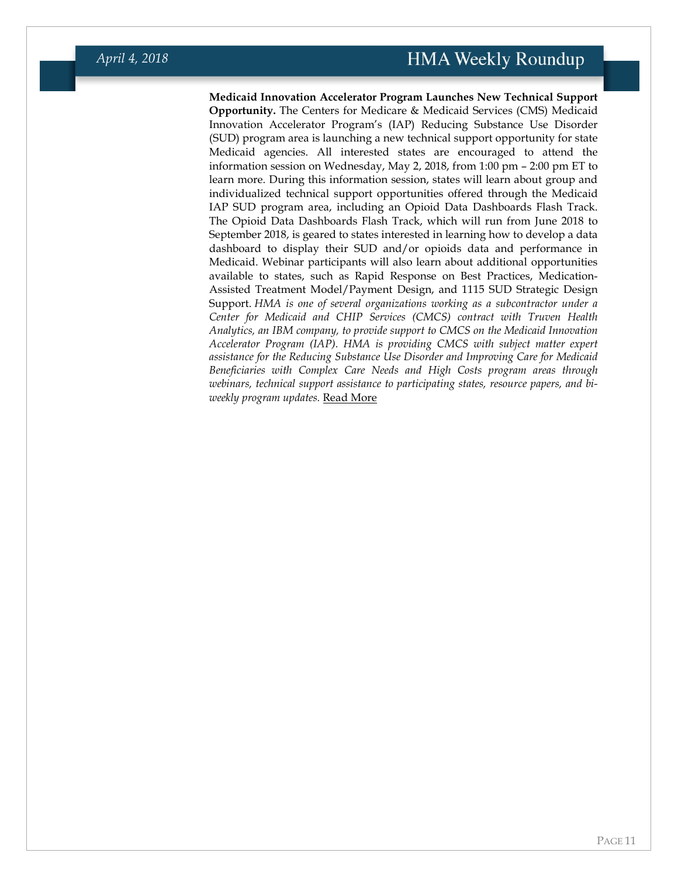**Medicaid Innovation Accelerator Program Launches New Technical Support Opportunity.** The Centers for Medicare & Medicaid Services (CMS) Medicaid Innovation Accelerator Program's (IAP) Reducing Substance Use Disorder (SUD) program area is launching a new technical support opportunity for state Medicaid agencies. All interested states are encouraged to attend the information session on Wednesday, May 2, 2018, from 1:00 pm – 2:00 pm ET to learn more. During this information session, states will learn about group and individualized technical support opportunities offered through the Medicaid IAP SUD program area, including an Opioid Data Dashboards Flash Track. The Opioid Data Dashboards Flash Track, which will run from June 2018 to September 2018, is geared to states interested in learning how to develop a data dashboard to display their SUD and/or opioids data and performance in Medicaid. Webinar participants will also learn about additional opportunities available to states, such as Rapid Response on Best Practices, Medication-Assisted Treatment Model/Payment Design, and 1115 SUD Strategic Design Support. *HMA is one of several organizations working as a subcontractor under a Center for Medicaid and CHIP Services (CMCS) contract with Truven Health Analytics, an IBM company, to provide support to CMCS on the Medicaid Innovation Accelerator Program (IAP). HMA is providing CMCS with subject matter expert assistance for the Reducing Substance Use Disorder and Improving Care for Medicaid Beneficiaries with Complex Care Needs and High Costs program areas through webinars, technical support assistance to participating states, resource papers, and biweekly program updates.* [Read More](https://cc.readytalk.com/registration/#/?meeting=cp4uegahe7p2&campaign=9eile2u0ezxi)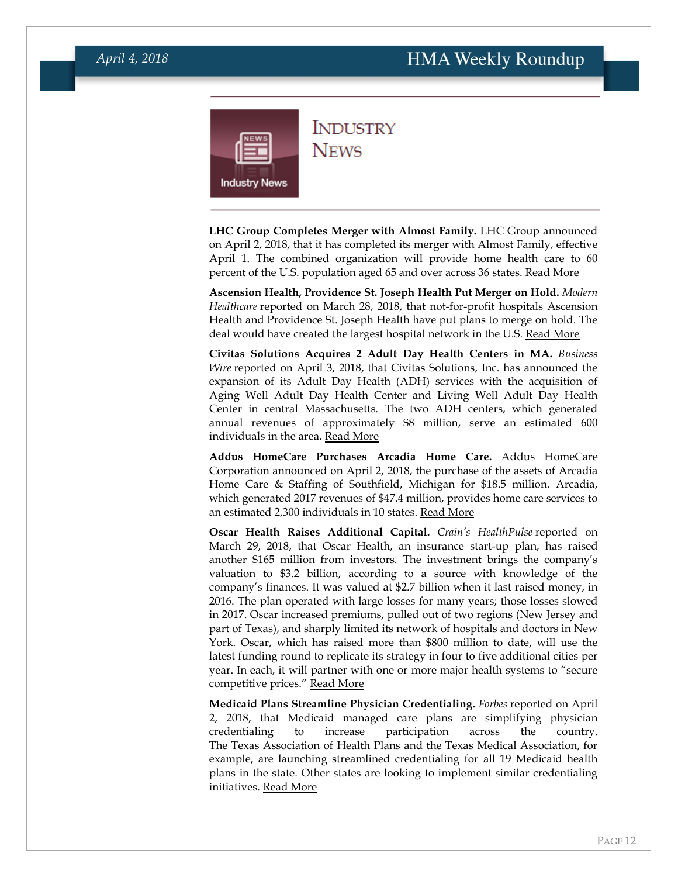<span id="page-11-0"></span>

**INDUSTRY NEWS** 

**LHC Group Completes Merger with Almost Family.** LHC Group announced on April 2, 2018, that it has completed its merger with Almost Family, effective April 1. The combined organization will provide home health care to 60 percent of the U.S. population aged 65 and over across 36 states. [Read More](https://www.businesswire.com/news/home/20180402005330/en/LHC-Group-Announces-Successful-Completion-Effectiveness-Merger)

**Ascension Health, Providence St. Joseph Health Put Merger on Hold.** *Modern Healthcare* reported on March 28, 2018, that not-for-profit hospitals Ascension Health and Providence St. Joseph Health have put plans to merge on hold. The deal would have created the largest hospital network in the U.S. [Read More](http://www.modernhealthcare.com/article/20180328/NEWS/180329903)

**Civitas Solutions Acquires 2 Adult Day Health Centers in MA.** *Business Wire* reported on April 3, 2018, that Civitas Solutions, Inc. has announced the expansion of its Adult Day Health (ADH) services with the acquisition of Aging Well Adult Day Health Center and Living Well Adult Day Health Center in central Massachusetts. The two ADH centers, which generated annual revenues of approximately \$8 million, serve an estimated 600 individuals in the area. [Read More](https://www.businesswire.com/news/home/20180403006623/en/Civitas-Solutions-Expands-Adult-Day-Health-ADH)

**Addus HomeCare Purchases Arcadia Home Care.** Addus HomeCare Corporation announced on April 2, 2018, the purchase of the assets of Arcadia Home Care & Staffing of Southfield, Michigan for \$18.5 million. Arcadia, which generated 2017 revenues of \$47.4 million, provides home care services to an estimated 2,300 individuals in 10 states. [Read More](http://phoenix.corporate-ir.net/phoenix.zhtml?c=231191&p=irol-newsArticle&ID=2340501)

**Oscar Health Raises Additional Capital.** *Crain's HealthPulse* reported on March 29, 2018, that Oscar Health, an insurance start-up plan, has raised another \$165 million from investors. The investment brings the company's valuation to \$3.2 billion, according to a source with knowledge of the company's finances. It was valued at \$2.7 billion when it last raised money, in 2016. The plan operated with large losses for many years; those losses slowed in 2017. Oscar increased premiums, pulled out of two regions (New Jersey and part of Texas), and sharply limited its network of hospitals and doctors in New York. Oscar, which has raised more than \$800 million to date, will use the latest funding round to replicate its strategy in four to five additional cities per year. In each, it will partner with one or more major health systems to "secure competitive prices." [Read More](http://www.crainsnewyork.com/article/20180329/PULSE/180329880/centerlight-settles-medicaid-fraud-case-for-10-million)

**Medicaid Plans Streamline Physician Credentialing.** *Forbes* reported on April 2, 2018, that Medicaid managed care plans are simplifying physician credentialing to increase participation across the country. The Texas Association of Health Plans and the Texas Medical Association, for example, are launching streamlined credentialing for all 19 Medicaid health plans in the state. Other states are looking to implement similar credentialing initiatives. [Read More](https://www.forbes.com/sites/brucejapsen/2018/04/02/health-plans-simplify-doctor-credentialing-to-boost-medicaid-participation/#a844fb761dc2)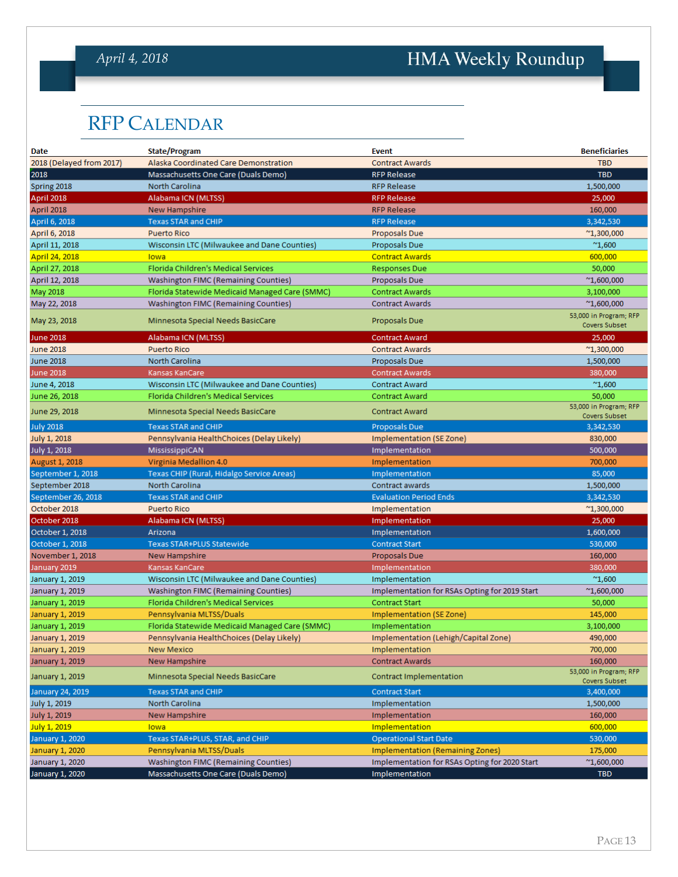## *April 4, 2018*

# HMA Weekly Roundup

## <span id="page-12-0"></span>RFP CALENDAR

| Date                     | <b>State/Program</b>                           | <b>Event</b>                                  | <b>Beneficiaries</b>                           |
|--------------------------|------------------------------------------------|-----------------------------------------------|------------------------------------------------|
| 2018 (Delayed from 2017) | Alaska Coordinated Care Demonstration          | <b>Contract Awards</b>                        | <b>TBD</b>                                     |
| 2018                     | Massachusetts One Care (Duals Demo)            | <b>RFP Release</b>                            | <b>TBD</b>                                     |
| Spring 2018              | North Carolina                                 | <b>RFP Release</b>                            | 1,500,000                                      |
| April 2018               | Alabama ICN (MLTSS)                            | <b>RFP Release</b>                            | 25,000                                         |
| April 2018               | <b>New Hampshire</b>                           | <b>RFP Release</b>                            | 160,000                                        |
| April 6, 2018            | <b>Texas STAR and CHIP</b>                     | <b>RFP Release</b>                            | 3,342,530                                      |
| April 6, 2018            | <b>Puerto Rico</b>                             | Proposals Due                                 | $^{\sim}$ 1,300,000                            |
| April 11, 2018           | Wisconsin LTC (Milwaukee and Dane Counties)    | Proposals Due                                 | $^{\prime\prime}1,600$                         |
| April 24, 2018           | lowa                                           | <b>Contract Awards</b>                        | 600,000                                        |
| April 27, 2018           | Florida Children's Medical Services            | <b>Responses Due</b>                          | 50,000                                         |
| April 12, 2018           | <b>Washington FIMC (Remaining Counties)</b>    | Proposals Due                                 | $^{\sim}1,600,000$                             |
| May 2018                 | Florida Statewide Medicaid Managed Care (SMMC) | <b>Contract Awards</b>                        | 3,100,000                                      |
| May 22, 2018             | <b>Washington FIMC (Remaining Counties)</b>    | <b>Contract Awards</b>                        | $^{\sim}1,600,000$                             |
| May 23, 2018             | Minnesota Special Needs BasicCare              | Proposals Due                                 | 53,000 in Program; RFP<br><b>Covers Subset</b> |
| <b>June 2018</b>         | Alabama ICN (MLTSS)                            | <b>Contract Award</b>                         | 25,000                                         |
| <b>June 2018</b>         | <b>Puerto Rico</b>                             | <b>Contract Awards</b>                        | $^{\sim}$ 1,300,000                            |
| <b>June 2018</b>         | North Carolina                                 | Proposals Due                                 | 1,500,000                                      |
| <b>June 2018</b>         | Kansas KanCare                                 | <b>Contract Awards</b>                        | 380,000                                        |
| June 4, 2018             | Wisconsin LTC (Milwaukee and Dane Counties)    | <b>Contract Award</b>                         | $^{\sim}1,600$                                 |
| June 26, 2018            | Florida Children's Medical Services            | <b>Contract Award</b>                         | 50,000                                         |
| June 29, 2018            | Minnesota Special Needs BasicCare              | <b>Contract Award</b>                         | 53,000 in Program; RFP<br>Covers Subset        |
| <b>July 2018</b>         | <b>Texas STAR and CHIP</b>                     | <b>Proposals Due</b>                          | 3,342,530                                      |
| July 1, 2018             | Pennsylvania HealthChoices (Delay Likely)      | Implementation (SE Zone)                      | 830,000                                        |
| July 1, 2018             | MississippiCAN                                 | Implementation                                | 500,000                                        |
| August 1, 2018           | Virginia Medallion 4.0                         | Implementation                                | 700,000                                        |
| September 1, 2018        | Texas CHIP (Rural, Hidalgo Service Areas)      | Implementation                                | 85,000                                         |
| September 2018           | North Carolina                                 | Contract awards                               | 1,500,000                                      |
| September 26, 2018       | <b>Texas STAR and CHIP</b>                     | <b>Evaluation Period Ends</b>                 | 3,342,530                                      |
| October 2018             | <b>Puerto Rico</b>                             | Implementation                                | $^{\sim}1,300,000$                             |
| October 2018             | Alabama ICN (MLTSS)                            | Implementation                                | 25,000                                         |
| October 1, 2018          | Arizona                                        | Implementation                                | 1,600,000                                      |
| October 1, 2018          | Texas STAR+PLUS Statewide                      | <b>Contract Start</b>                         | 530,000                                        |
| November 1, 2018         | New Hampshire                                  | Proposals Due                                 | 160,000                                        |
| January 2019             | Kansas KanCare                                 | Implementation                                | 380,000                                        |
| January 1, 2019          | Wisconsin LTC (Milwaukee and Dane Counties)    | Implementation                                | $^{\prime\prime}1,600$                         |
| January 1, 2019          | Washington FIMC (Remaining Counties)           | Implementation for RSAs Opting for 2019 Start | $^{\sim}1,600,000$                             |
| January 1, 2019          | Florida Children's Medical Services            | <b>Contract Start</b>                         | 50,000                                         |
| January 1, 2019          | Pennsylvania MLTSS/Duals                       | Implementation (SE Zone)                      | 145,000                                        |
| January 1, 2019          | Florida Statewide Medicaid Managed Care (SMMC) | Implementation                                | 3,100,000                                      |
| January 1, 2019          | Pennsylvania HealthChoices (Delay Likely)      | Implementation (Lehigh/Capital Zone)          | 490,000                                        |
| January 1, 2019          | <b>New Mexico</b>                              | Implementation                                | 700,000                                        |
| January 1, 2019          | <b>New Hampshire</b>                           | <b>Contract Awards</b>                        | 160,000                                        |
| January 1, 2019          | Minnesota Special Needs BasicCare              | Contract Implementation                       | 53,000 in Program; RFP<br>Covers Subset        |
| January 24, 2019         | <b>Texas STAR and CHIP</b>                     | <b>Contract Start</b>                         | 3,400,000                                      |
| July 1, 2019             | North Carolina                                 | Implementation                                | 1,500,000                                      |
| <b>July 1, 2019</b>      | New Hampshire                                  | Implementation                                | 160,000                                        |
| July 1, 2019             | lowa                                           | Implementation                                | 600,000                                        |
| January 1, 2020          | Texas STAR+PLUS, STAR, and CHIP                | <b>Operational Start Date</b>                 | 530,000                                        |
| January 1, 2020          | Pennsylvania MLTSS/Duals                       | <b>Implementation (Remaining Zones)</b>       | 175,000                                        |
| January 1, 2020          | <b>Washington FIMC (Remaining Counties)</b>    | Implementation for RSAs Opting for 2020 Start | $^{\sim}1,600,000$                             |
| January 1, 2020          | Massachusetts One Care (Duals Demo)            | Implementation                                | <b>TBD</b>                                     |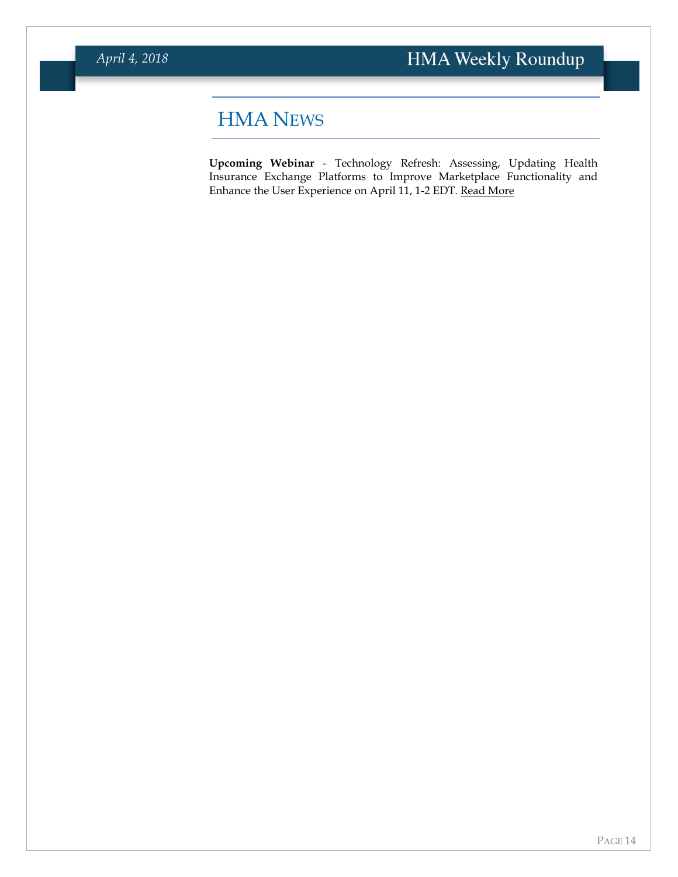# <span id="page-13-0"></span>HMA NEWS

**Upcoming Webinar** - Technology Refresh: Assessing, Updating Health Insurance Exchange Platforms to Improve Marketplace Functionality and Enhance the User Experience on April 11, 1-2 EDT. [Read More](https://www.healthmanagement.com/knowledge-share/webinars/technology-refresh-assessing-updating-health-insurance-exchange-platforms-improve-marketplace-functionality-enhance-user-experience/)